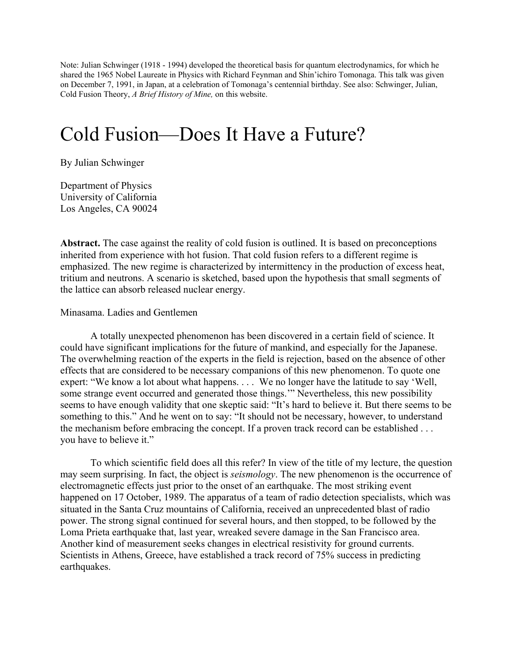Note: Julian Schwinger (1918 - 1994) developed the theoretical basis for quantum electrodynamics, for which he shared the 1965 Nobel Laureate in Physics with Richard Feynman and Shin'ichiro Tomonaga. This talk was given on December 7, 1991, in Japan, at a celebration of Tomonaga's centennial birthday. See also: Schwinger, Julian, Cold Fusion Theory, *A Brief History of Mine,* on this website.

## Cold Fusion—Does It Have a Future?

By Julian Schwinger

Department of Physics University of California Los Angeles, CA 90024

**Abstract.** The case against the reality of cold fusion is outlined. It is based on preconceptions inherited from experience with hot fusion. That cold fusion refers to a different regime is emphasized. The new regime is characterized by intermittency in the production of excess heat, tritium and neutrons. A scenario is sketched, based upon the hypothesis that small segments of the lattice can absorb released nuclear energy.

## Minasama. Ladies and Gentlemen

 A totally unexpected phenomenon has been discovered in a certain field of science. It could have significant implications for the future of mankind, and especially for the Japanese. The overwhelming reaction of the experts in the field is rejection, based on the absence of other effects that are considered to be necessary companions of this new phenomenon. To quote one expert: "We know a lot about what happens. . . . We no longer have the latitude to say 'Well, some strange event occurred and generated those things." Nevertheless, this new possibility seems to have enough validity that one skeptic said: "It's hard to believe it. But there seems to be something to this." And he went on to say: "It should not be necessary, however, to understand the mechanism before embracing the concept. If a proven track record can be established . . . you have to believe it."

 To which scientific field does all this refer? In view of the title of my lecture, the question may seem surprising. In fact, the object is *seismology*. The new phenomenon is the occurrence of electromagnetic effects just prior to the onset of an earthquake. The most striking event happened on 17 October, 1989. The apparatus of a team of radio detection specialists, which was situated in the Santa Cruz mountains of California, received an unprecedented blast of radio power. The strong signal continued for several hours, and then stopped, to be followed by the Loma Prieta earthquake that, last year, wreaked severe damage in the San Francisco area. Another kind of measurement seeks changes in electrical resistivity for ground currents. Scientists in Athens, Greece, have established a track record of 75% success in predicting earthquakes.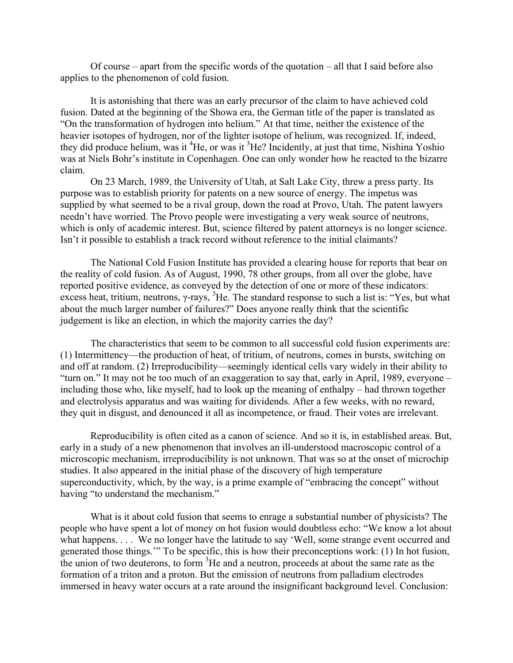Of course – apart from the specific words of the quotation – all that I said before also applies to the phenomenon of cold fusion.

It is astonishing that there was an early precursor of the claim to have achieved cold fusion. Dated at the beginning of the Showa era, the German title of the paper is translated as "On the transformation of hydrogen into helium." At that time, neither the existence of the heavier isotopes of hydrogen, nor of the lighter isotope of helium, was recognized. If, indeed, they did produce helium, was it <sup>4</sup>He, or was it <sup>3</sup>He? Incidently, at just that time, Nishina Yoshio was at Niels Bohr's institute in Copenhagen. One can only wonder how he reacted to the bizarre claim.

 On 23 March, 1989, the University of Utah, at Salt Lake City, threw a press party. Its purpose was to establish priority for patents on a new source of energy. The impetus was supplied by what seemed to be a rival group, down the road at Provo, Utah. The patent lawyers needn't have worried. The Provo people were investigating a very weak source of neutrons, which is only of academic interest. But, science filtered by patent attorneys is no longer science. Isn't it possible to establish a track record without reference to the initial claimants?

 The National Cold Fusion Institute has provided a clearing house for reports that bear on the reality of cold fusion. As of August, 1990, 78 other groups, from all over the globe, have reported positive evidence, as conveyed by the detection of one or more of these indicators: excess heat, tritium, neutrons,  $\gamma$ -rays,  ${}^{3}$ He. The standard response to such a list is: "Yes, but what about the much larger number of failures?" Does anyone really think that the scientific judgement is like an election, in which the majority carries the day?

The characteristics that seem to be common to all successful cold fusion experiments are: (1) Intermittency—the production of heat, of tritium, of neutrons, comes in bursts, switching on and off at random. (2) Irreproducibility—seemingly identical cells vary widely in their ability to "turn on." It may not be too much of an exaggeration to say that, early in April, 1989, everyone – including those who, like myself, had to look up the meaning of enthalpy – had thrown together and electrolysis apparatus and was waiting for dividends. After a few weeks, with no reward, they quit in disgust, and denounced it all as incompetence, or fraud. Their votes are irrelevant.

Reproducibility is often cited as a canon of science. And so it is, in established areas. But, early in a study of a new phenomenon that involves an ill-understood macroscopic control of a microscopic mechanism, irreproducibility is not unknown. That was so at the onset of microchip studies. It also appeared in the initial phase of the discovery of high temperature superconductivity, which, by the way, is a prime example of "embracing the concept" without having "to understand the mechanism."

What is it about cold fusion that seems to enrage a substantial number of physicists? The people who have spent a lot of money on hot fusion would doubtless echo: "We know a lot about what happens. . . . We no longer have the latitude to say 'Well, some strange event occurred and generated those things.'" To be specific, this is how their preconceptions work: (1) In hot fusion, the union of two deuterons, to form  ${}^{3}$ He and a neutron, proceeds at about the same rate as the formation of a triton and a proton. But the emission of neutrons from palladium electrodes immersed in heavy water occurs at a rate around the insignificant background level. Conclusion: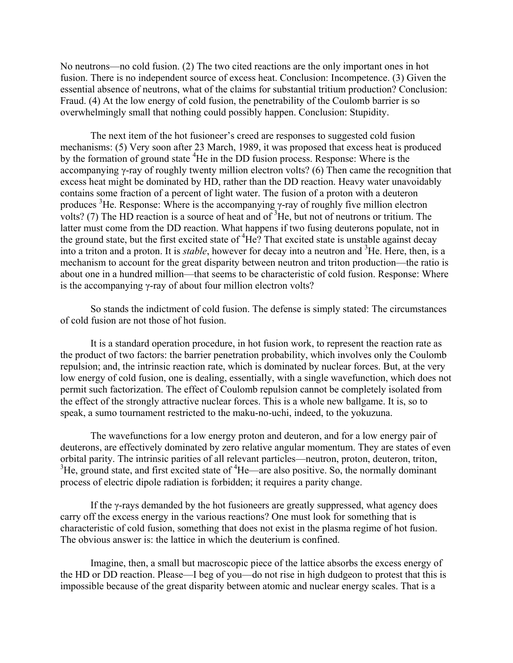No neutrons—no cold fusion. (2) The two cited reactions are the only important ones in hot fusion. There is no independent source of excess heat. Conclusion: Incompetence. (3) Given the essential absence of neutrons, what of the claims for substantial tritium production? Conclusion: Fraud. (4) At the low energy of cold fusion, the penetrability of the Coulomb barrier is so overwhelmingly small that nothing could possibly happen. Conclusion: Stupidity.

The next item of the hot fusioneer's creed are responses to suggested cold fusion mechanisms: (5) Very soon after 23 March, 1989, it was proposed that excess heat is produced by the formation of ground state <sup>4</sup>He in the DD fusion process. Response: Where is the accompanying γ-ray of roughly twenty million electron volts? (6) Then came the recognition that excess heat might be dominated by HD, rather than the DD reaction. Heavy water unavoidably contains some fraction of a percent of light water. The fusion of a proton with a deuteron produces <sup>3</sup>He. Response: Where is the accompanying  $\gamma$ -ray of roughly five million electron volts? (7) The HD reaction is a source of heat and of  ${}^{3}$ He, but not of neutrons or tritium. The latter must come from the DD reaction. What happens if two fusing deuterons populate, not in the ground state, but the first excited state of <sup>4</sup>He? That excited state is unstable against decay into a triton and a proton. It is *stable*, however for decay into a neutron and 3 He. Here, then, is a mechanism to account for the great disparity between neutron and triton production—the ratio is about one in a hundred million—that seems to be characteristic of cold fusion. Response: Where is the accompanying γ-ray of about four million electron volts?

 So stands the indictment of cold fusion. The defense is simply stated: The circumstances of cold fusion are not those of hot fusion.

It is a standard operation procedure, in hot fusion work, to represent the reaction rate as the product of two factors: the barrier penetration probability, which involves only the Coulomb repulsion; and, the intrinsic reaction rate, which is dominated by nuclear forces. But, at the very low energy of cold fusion, one is dealing, essentially, with a single wavefunction, which does not permit such factorization. The effect of Coulomb repulsion cannot be completely isolated from the effect of the strongly attractive nuclear forces. This is a whole new ballgame. It is, so to speak, a sumo tournament restricted to the maku-no-uchi, indeed, to the yokuzuna.

The wavefunctions for a low energy proton and deuteron, and for a low energy pair of deuterons, are effectively dominated by zero relative angular momentum. They are states of even orbital parity. The intrinsic parities of all relevant particles—neutron, proton, deuteron, triton,  ${}^{3}$ He, ground state, and first excited state of  ${}^{4}$ He—are also positive. So, the normally dominant process of electric dipole radiation is forbidden; it requires a parity change.

 If the γ-rays demanded by the hot fusioneers are greatly suppressed, what agency does carry off the excess energy in the various reactions? One must look for something that is characteristic of cold fusion, something that does not exist in the plasma regime of hot fusion. The obvious answer is: the lattice in which the deuterium is confined.

 Imagine, then, a small but macroscopic piece of the lattice absorbs the excess energy of the HD or DD reaction. Please—I beg of you—do not rise in high dudgeon to protest that this is impossible because of the great disparity between atomic and nuclear energy scales. That is a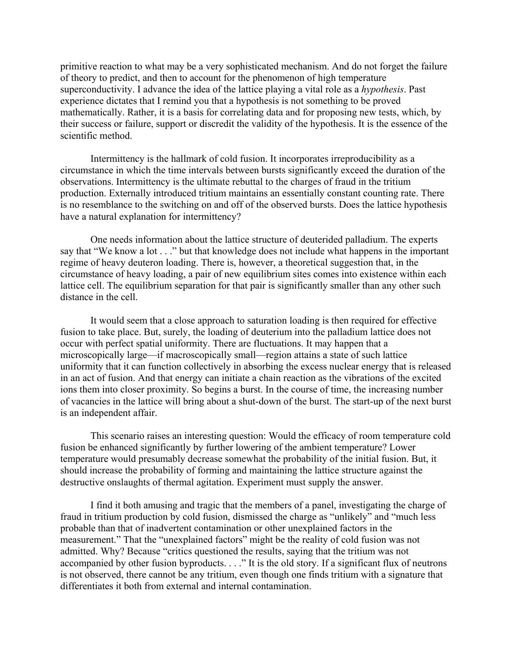primitive reaction to what may be a very sophisticated mechanism. And do not forget the failure of theory to predict, and then to account for the phenomenon of high temperature superconductivity. I advance the idea of the lattice playing a vital role as a *hypothesis*. Past experience dictates that I remind you that a hypothesis is not something to be proved mathematically. Rather, it is a basis for correlating data and for proposing new tests, which, by their success or failure, support or discredit the validity of the hypothesis. It is the essence of the scientific method.

 Intermittency is the hallmark of cold fusion. It incorporates irreproducibility as a circumstance in which the time intervals between bursts significantly exceed the duration of the observations. Intermittency is the ultimate rebuttal to the charges of fraud in the tritium production. Externally introduced tritium maintains an essentially constant counting rate. There is no resemblance to the switching on and off of the observed bursts. Does the lattice hypothesis have a natural explanation for intermittency?

One needs information about the lattice structure of deuterided palladium. The experts say that "We know a lot . . ." but that knowledge does not include what happens in the important regime of heavy deuteron loading. There is, however, a theoretical suggestion that, in the circumstance of heavy loading, a pair of new equilibrium sites comes into existence within each lattice cell. The equilibrium separation for that pair is significantly smaller than any other such distance in the cell.

It would seem that a close approach to saturation loading is then required for effective fusion to take place. But, surely, the loading of deuterium into the palladium lattice does not occur with perfect spatial uniformity. There are fluctuations. It may happen that a microscopically large—if macroscopically small—region attains a state of such lattice uniformity that it can function collectively in absorbing the excess nuclear energy that is released in an act of fusion. And that energy can initiate a chain reaction as the vibrations of the excited ions them into closer proximity. So begins a burst. In the course of time, the increasing number of vacancies in the lattice will bring about a shut-down of the burst. The start-up of the next burst is an independent affair.

 This scenario raises an interesting question: Would the efficacy of room temperature cold fusion be enhanced significantly by further lowering of the ambient temperature? Lower temperature would presumably decrease somewhat the probability of the initial fusion. But, it should increase the probability of forming and maintaining the lattice structure against the destructive onslaughts of thermal agitation. Experiment must supply the answer.

 I find it both amusing and tragic that the members of a panel, investigating the charge of fraud in tritium production by cold fusion, dismissed the charge as "unlikely" and "much less probable than that of inadvertent contamination or other unexplained factors in the measurement." That the "unexplained factors" might be the reality of cold fusion was not admitted. Why? Because "critics questioned the results, saying that the tritium was not accompanied by other fusion byproducts. . . ." It is the old story. If a significant flux of neutrons is not observed, there cannot be any tritium, even though one finds tritium with a signature that differentiates it both from external and internal contamination.